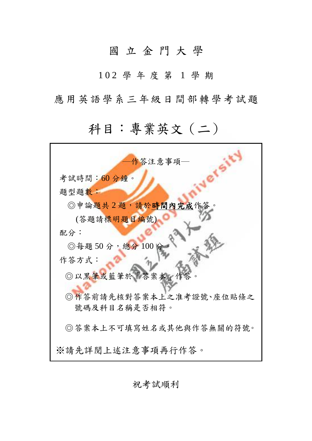## 國 立 金 門 大 學

1 0 2 學 年 度 第 1 學 期

應用英語學系三年級日間部轉學考試題

## 科目:專業英文(二)

| 作答注意事項—                 |
|-------------------------|
| 考試時間:60分鐘。              |
| 題型題數:                   |
| ◎申論題共2題,請於時間內完成作答。      |
| (答題請標明題目編號)             |
| 配分:                     |
| ◎每題50分,總分100分           |
| 作答方式:                   |
| ◎以黑筆或藍筆於「答案本」作答         |
| ◎作答前請先核對答案本上之准考證號、座位貼條之 |
| 號碼及科目名稱是否相符。            |
| ◎答案本上不可填寫姓名或其他與作答無關的符號。 |
| ※請先詳閲上述注意事項再行作答。        |

祝考試順利